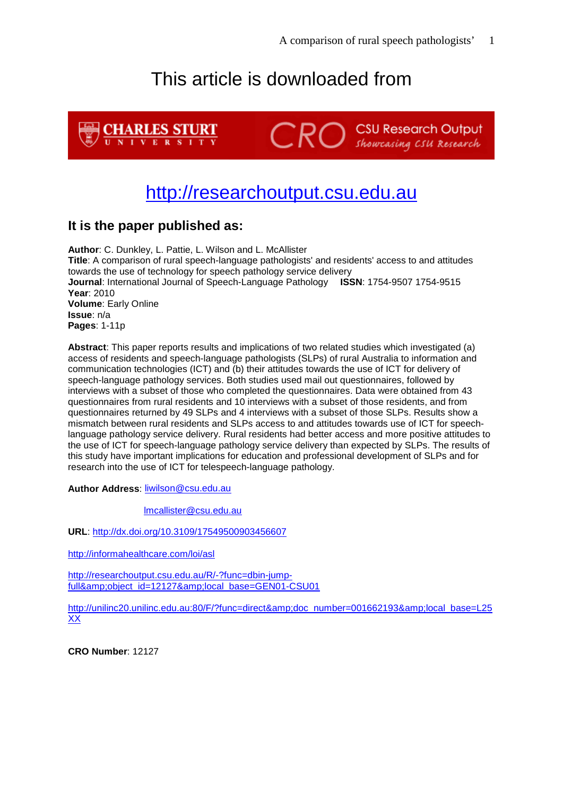# This article is downloaded from



# [http://researchoutput.csu.edu.au](http://researchoutput.csu.edu.au/)

### **It is the paper published as:**

**Author**: C. Dunkley, L. Pattie, L. Wilson and L. McAllister **Title**: A comparison of rural speech-language pathologists' and residents' access to and attitudes towards the use of technology for speech pathology service delivery **Journal**: International Journal of Speech-Language Pathology **ISSN**: 1754-9507 1754-9515 **Year**: 2010 **Volume**: Early Online **Issue**: n/a **Pages**: 1-11p

**Abstract**: This paper reports results and implications of two related studies which investigated (a) access of residents and speech-language pathologists (SLPs) of rural Australia to information and communication technologies (ICT) and (b) their attitudes towards the use of ICT for delivery of speech-language pathology services. Both studies used mail out questionnaires, followed by interviews with a subset of those who completed the questionnaires. Data were obtained from 43 questionnaires from rural residents and 10 interviews with a subset of those residents, and from questionnaires returned by 49 SLPs and 4 interviews with a subset of those SLPs. Results show a mismatch between rural residents and SLPs access to and attitudes towards use of ICT for speechlanguage pathology service delivery. Rural residents had better access and more positive attitudes to the use of ICT for speech-language pathology service delivery than expected by SLPs. The results of this study have important implications for education and professional development of SLPs and for research into the use of ICT for telespeech-language pathology.

**Author Address**: [liwilson@csu.edu.au](mailto:liwilson@csu.edu.au)

[lmcallister@csu.edu.au](mailto:lmcallister@csu.edu.au)

**URL**:<http://dx.doi.org/10.3109/17549500903456607>

<http://informahealthcare.com/loi/asl>

[http://researchoutput.csu.edu.au/R/-?func=dbin-jump](http://researchoutput.csu.edu.au/R/-?func=dbin-jump-full&object_id=12127&local_base=GEN01-CSU01)full&amp:object\_id=12127&amp:local\_base=GEN01-CSU01

[http://unilinc20.unilinc.edu.au:80/F/?func=direct&doc\\_number=001662193&local\\_base=L25](http://unilinc20.unilinc.edu.au/F/?func=direct&doc_number=001662193&local_base=L25XX) [XX](http://unilinc20.unilinc.edu.au/F/?func=direct&doc_number=001662193&local_base=L25XX)

**CRO Number**: 12127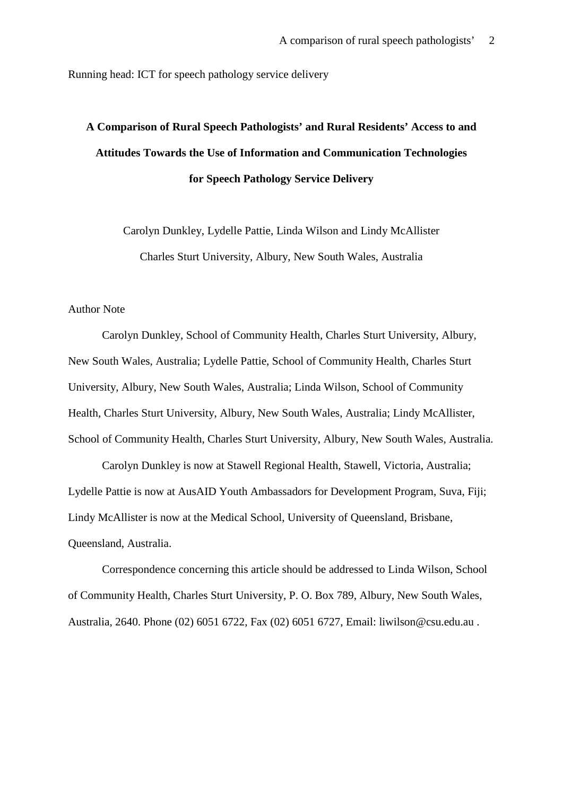Running head: ICT for speech pathology service delivery

# **A Comparison of Rural Speech Pathologists' and Rural Residents' Access to and Attitudes Towards the Use of Information and Communication Technologies for Speech Pathology Service Delivery**

Carolyn Dunkley, Lydelle Pattie, Linda Wilson and Lindy McAllister Charles Sturt University, Albury, New South Wales, Australia

#### Author Note

Carolyn Dunkley, School of Community Health, Charles Sturt University, Albury, New South Wales, Australia; Lydelle Pattie, School of Community Health, Charles Sturt University, Albury, New South Wales, Australia; Linda Wilson, School of Community Health, Charles Sturt University, Albury, New South Wales, Australia; Lindy McAllister, School of Community Health, Charles Sturt University, Albury, New South Wales, Australia.

Carolyn Dunkley is now at Stawell Regional Health, Stawell, Victoria, Australia; Lydelle Pattie is now at AusAID Youth Ambassadors for Development Program, Suva, Fiji; Lindy McAllister is now at the Medical School, University of Queensland, Brisbane, Queensland, Australia.

Correspondence concerning this article should be addressed to Linda Wilson, School of Community Health, Charles Sturt University, P. O. Box 789, Albury, New South Wales, Australia, 2640. Phone (02) 6051 6722, Fax (02) 6051 6727, Email: liwilso[n@csu.edu.au](mailto:lmcallister@csu.edu.au) .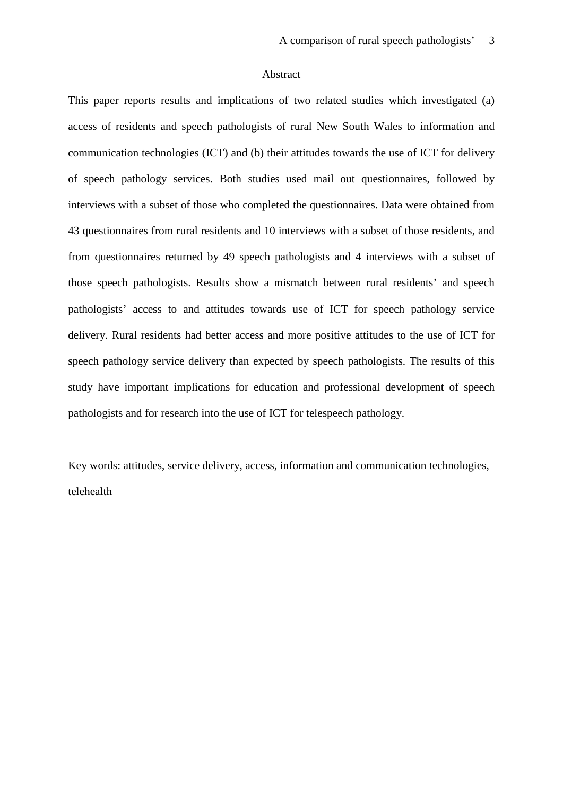#### Abstract

This paper reports results and implications of two related studies which investigated (a) access of residents and speech pathologists of rural New South Wales to information and communication technologies (ICT) and (b) their attitudes towards the use of ICT for delivery of speech pathology services. Both studies used mail out questionnaires, followed by interviews with a subset of those who completed the questionnaires. Data were obtained from 43 questionnaires from rural residents and 10 interviews with a subset of those residents, and from questionnaires returned by 49 speech pathologists and 4 interviews with a subset of those speech pathologists. Results show a mismatch between rural residents' and speech pathologists' access to and attitudes towards use of ICT for speech pathology service delivery. Rural residents had better access and more positive attitudes to the use of ICT for speech pathology service delivery than expected by speech pathologists. The results of this study have important implications for education and professional development of speech pathologists and for research into the use of ICT for telespeech pathology.

Key words: attitudes, service delivery, access, information and communication technologies, telehealth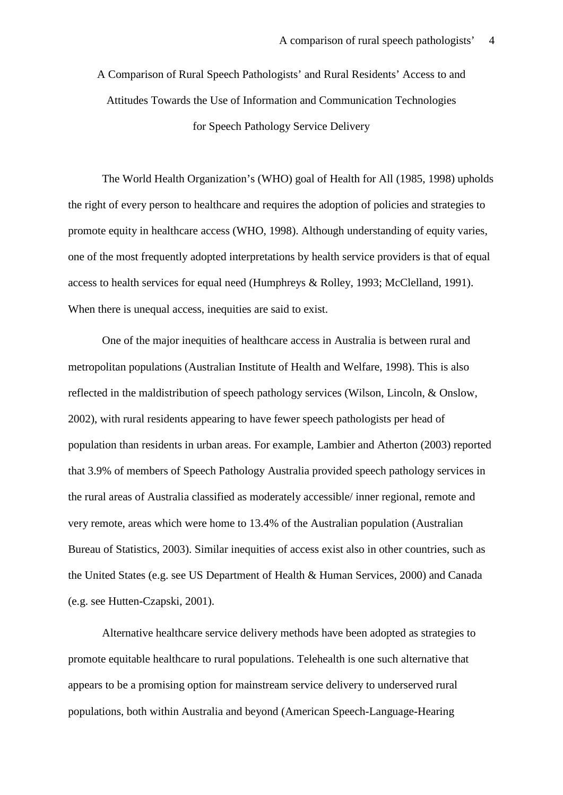A Comparison of Rural Speech Pathologists' and Rural Residents' Access to and Attitudes Towards the Use of Information and Communication Technologies for Speech Pathology Service Delivery

The World Health Organization's (WHO) goal of Health for All (1985, 1998) upholds the right of every person to healthcare and requires the adoption of policies and strategies to promote equity in healthcare access (WHO, 1998). Although understanding of equity varies, one of the most frequently adopted interpretations by health service providers is that of equal access to health services for equal need (Humphreys & Rolley, 1993; McClelland, 1991). When there is unequal access, inequities are said to exist.

One of the major inequities of healthcare access in Australia is between rural and metropolitan populations (Australian Institute of Health and Welfare, 1998). This is also reflected in the maldistribution of speech pathology services (Wilson, Lincoln, & Onslow, 2002), with rural residents appearing to have fewer speech pathologists per head of population than residents in urban areas. For example, Lambier and Atherton (2003) reported that 3.9% of members of Speech Pathology Australia provided speech pathology services in the rural areas of Australia classified as moderately accessible/ inner regional, remote and very remote, areas which were home to 13.4% of the Australian population (Australian Bureau of Statistics, 2003). Similar inequities of access exist also in other countries, such as the United States (e.g. see US Department of Health & Human Services, 2000) and Canada (e.g. see Hutten-Czapski, 2001).

Alternative healthcare service delivery methods have been adopted as strategies to promote equitable healthcare to rural populations. Telehealth is one such alternative that appears to be a promising option for mainstream service delivery to underserved rural populations, both within Australia and beyond (American Speech-Language-Hearing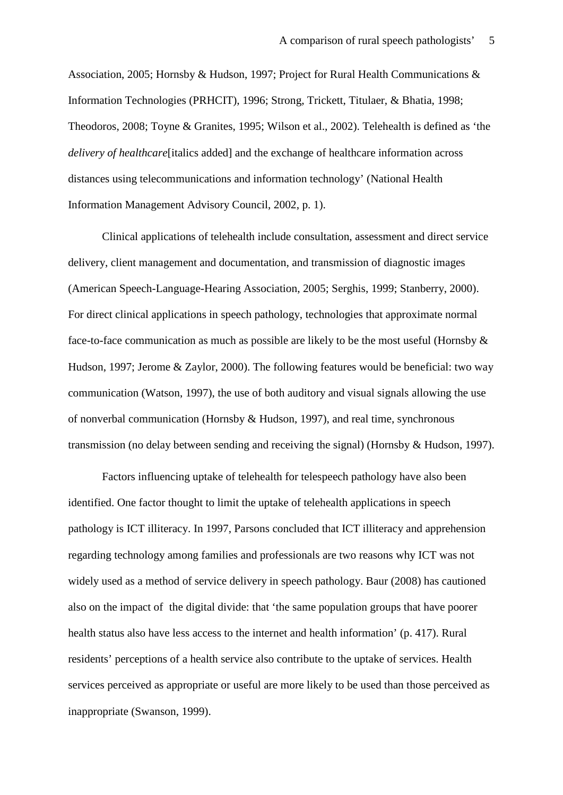Association, 2005; Hornsby & Hudson, 1997; Project for Rural Health Communications & Information Technologies (PRHCIT), 1996; Strong, Trickett, Titulaer, & Bhatia, 1998; Theodoros, 2008; Toyne & Granites, 1995; Wilson et al., 2002). Telehealth is defined as 'the *delivery of healthcare*[italics added] and the exchange of healthcare information across distances using telecommunications and information technology' (National Health Information Management Advisory Council, 2002, p. 1).

Clinical applications of telehealth include consultation, assessment and direct service delivery, client management and documentation, and transmission of diagnostic images (American Speech-Language-Hearing Association, 2005; Serghis, 1999; Stanberry, 2000). For direct clinical applications in speech pathology, technologies that approximate normal face-to-face communication as much as possible are likely to be the most useful (Hornsby & Hudson, 1997; Jerome & Zaylor, 2000). The following features would be beneficial: two way communication (Watson, 1997), the use of both auditory and visual signals allowing the use of nonverbal communication (Hornsby & Hudson, 1997), and real time, synchronous transmission (no delay between sending and receiving the signal) (Hornsby & Hudson, 1997).

Factors influencing uptake of telehealth for telespeech pathology have also been identified. One factor thought to limit the uptake of telehealth applications in speech pathology is ICT illiteracy. In 1997, Parsons concluded that ICT illiteracy and apprehension regarding technology among families and professionals are two reasons why ICT was not widely used as a method of service delivery in speech pathology. Baur (2008) has cautioned also on the impact of the digital divide: that 'the same population groups that have poorer health status also have less access to the internet and health information' (p. 417). Rural residents' perceptions of a health service also contribute to the uptake of services. Health services perceived as appropriate or useful are more likely to be used than those perceived as inappropriate (Swanson, 1999).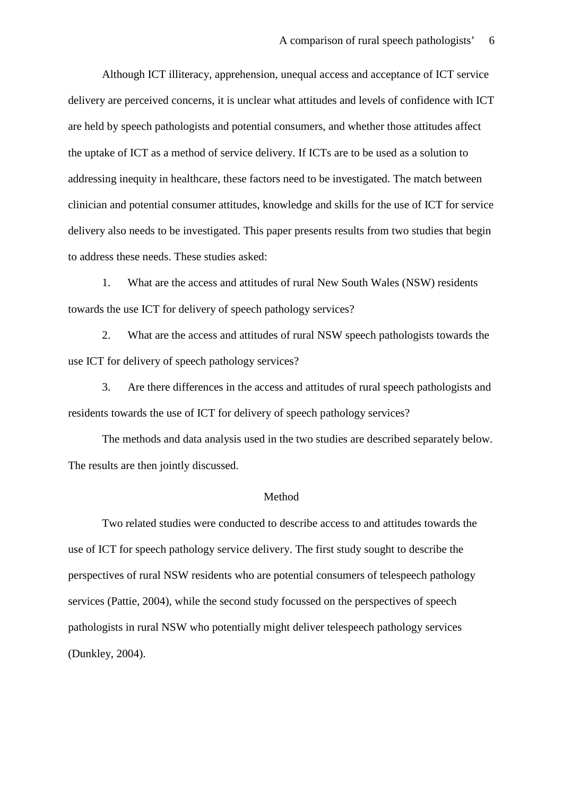Although ICT illiteracy, apprehension, unequal access and acceptance of ICT service delivery are perceived concerns, it is unclear what attitudes and levels of confidence with ICT are held by speech pathologists and potential consumers, and whether those attitudes affect the uptake of ICT as a method of service delivery. If ICTs are to be used as a solution to addressing inequity in healthcare, these factors need to be investigated. The match between clinician and potential consumer attitudes, knowledge and skills for the use of ICT for service delivery also needs to be investigated. This paper presents results from two studies that begin to address these needs. These studies asked:

1. What are the access and attitudes of rural New South Wales (NSW) residents towards the use ICT for delivery of speech pathology services?

2. What are the access and attitudes of rural NSW speech pathologists towards the use ICT for delivery of speech pathology services?

3. Are there differences in the access and attitudes of rural speech pathologists and residents towards the use of ICT for delivery of speech pathology services?

The methods and data analysis used in the two studies are described separately below. The results are then jointly discussed.

#### Method

Two related studies were conducted to describe access to and attitudes towards the use of ICT for speech pathology service delivery. The first study sought to describe the perspectives of rural NSW residents who are potential consumers of telespeech pathology services (Pattie, 2004), while the second study focussed on the perspectives of speech pathologists in rural NSW who potentially might deliver telespeech pathology services (Dunkley, 2004).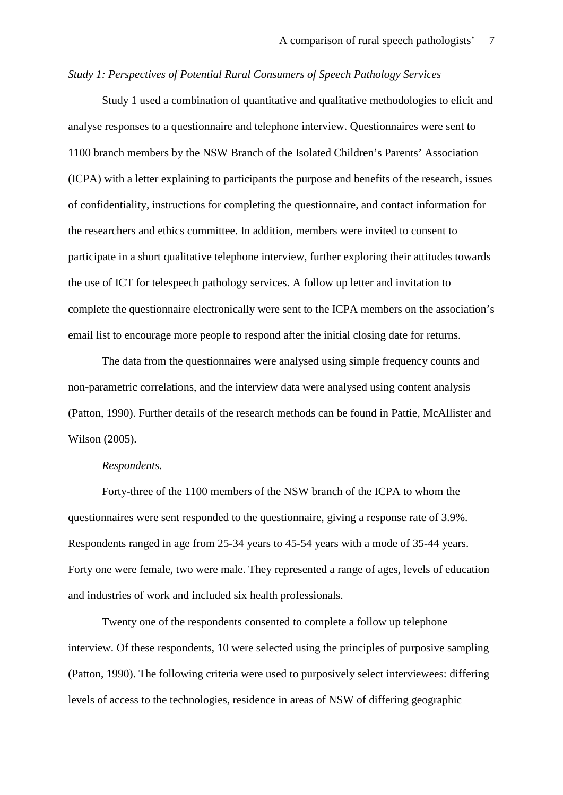#### *Study 1: Perspectives of Potential Rural Consumers of Speech Pathology Services*

Study 1 used a combination of quantitative and qualitative methodologies to elicit and analyse responses to a questionnaire and telephone interview. Questionnaires were sent to 1100 branch members by the NSW Branch of the Isolated Children's Parents' Association (ICPA) with a letter explaining to participants the purpose and benefits of the research, issues of confidentiality, instructions for completing the questionnaire, and contact information for the researchers and ethics committee. In addition, members were invited to consent to participate in a short qualitative telephone interview, further exploring their attitudes towards the use of ICT for telespeech pathology services. A follow up letter and invitation to complete the questionnaire electronically were sent to the ICPA members on the association's email list to encourage more people to respond after the initial closing date for returns.

The data from the questionnaires were analysed using simple frequency counts and non-parametric correlations, and the interview data were analysed using content analysis (Patton, 1990). Further details of the research methods can be found in Pattie, McAllister and Wilson (2005).

#### *Respondents.*

Forty-three of the 1100 members of the NSW branch of the ICPA to whom the questionnaires were sent responded to the questionnaire, giving a response rate of 3.9%. Respondents ranged in age from 25-34 years to 45-54 years with a mode of 35-44 years. Forty one were female, two were male. They represented a range of ages, levels of education and industries of work and included six health professionals.

Twenty one of the respondents consented to complete a follow up telephone interview. Of these respondents, 10 were selected using the principles of purposive sampling (Patton, 1990). The following criteria were used to purposively select interviewees: differing levels of access to the technologies, residence in areas of NSW of differing geographic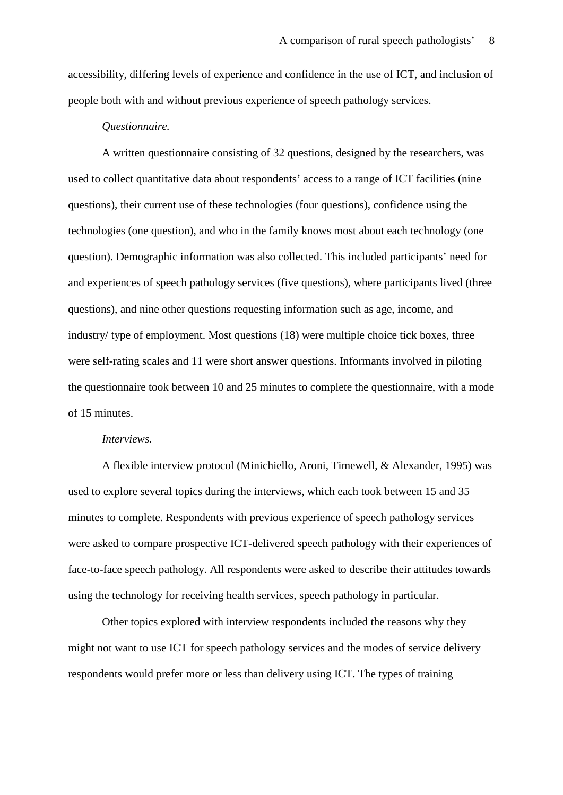accessibility, differing levels of experience and confidence in the use of ICT, and inclusion of people both with and without previous experience of speech pathology services.

#### *Questionnaire.*

A written questionnaire consisting of 32 questions, designed by the researchers, was used to collect quantitative data about respondents' access to a range of ICT facilities (nine questions), their current use of these technologies (four questions), confidence using the technologies (one question), and who in the family knows most about each technology (one question). Demographic information was also collected. This included participants' need for and experiences of speech pathology services (five questions), where participants lived (three questions), and nine other questions requesting information such as age, income, and industry/ type of employment. Most questions (18) were multiple choice tick boxes, three were self-rating scales and 11 were short answer questions. Informants involved in piloting the questionnaire took between 10 and 25 minutes to complete the questionnaire, with a mode of 15 minutes.

#### *Interviews.*

A flexible interview protocol (Minichiello, Aroni, Timewell, & Alexander, 1995) was used to explore several topics during the interviews, which each took between 15 and 35 minutes to complete. Respondents with previous experience of speech pathology services were asked to compare prospective ICT-delivered speech pathology with their experiences of face-to-face speech pathology. All respondents were asked to describe their attitudes towards using the technology for receiving health services, speech pathology in particular.

Other topics explored with interview respondents included the reasons why they might not want to use ICT for speech pathology services and the modes of service delivery respondents would prefer more or less than delivery using ICT. The types of training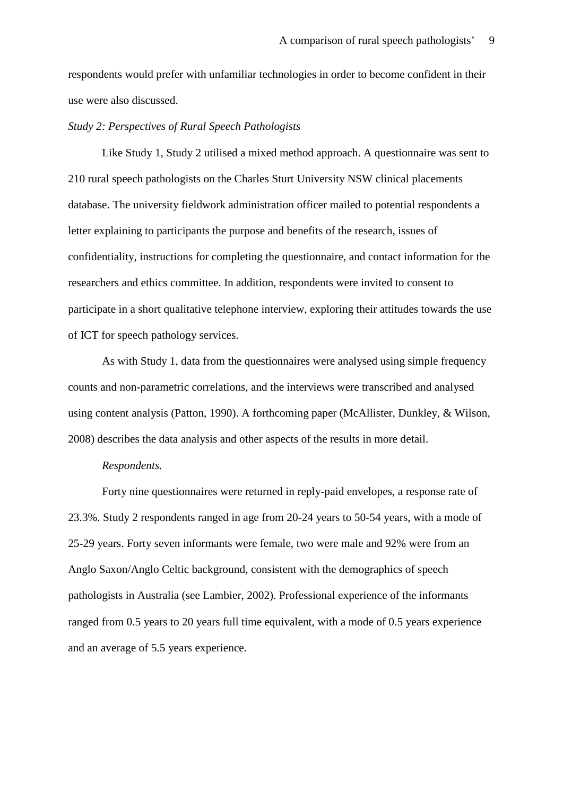respondents would prefer with unfamiliar technologies in order to become confident in their use were also discussed.

#### *Study 2: Perspectives of Rural Speech Pathologists*

Like Study 1, Study 2 utilised a mixed method approach. A questionnaire was sent to 210 rural speech pathologists on the Charles Sturt University NSW clinical placements database. The university fieldwork administration officer mailed to potential respondents a letter explaining to participants the purpose and benefits of the research, issues of confidentiality, instructions for completing the questionnaire, and contact information for the researchers and ethics committee. In addition, respondents were invited to consent to participate in a short qualitative telephone interview, exploring their attitudes towards the use of ICT for speech pathology services.

As with Study 1, data from the questionnaires were analysed using simple frequency counts and non-parametric correlations, and the interviews were transcribed and analysed using content analysis (Patton, 1990). A forthcoming paper (McAllister, Dunkley, & Wilson, 2008) describes the data analysis and other aspects of the results in more detail.

#### *Respondents.*

Forty nine questionnaires were returned in reply-paid envelopes, a response rate of 23.3%. Study 2 respondents ranged in age from 20-24 years to 50-54 years, with a mode of 25-29 years. Forty seven informants were female, two were male and 92% were from an Anglo Saxon/Anglo Celtic background, consistent with the demographics of speech pathologists in Australia (see Lambier, 2002). Professional experience of the informants ranged from 0.5 years to 20 years full time equivalent, with a mode of 0.5 years experience and an average of 5.5 years experience.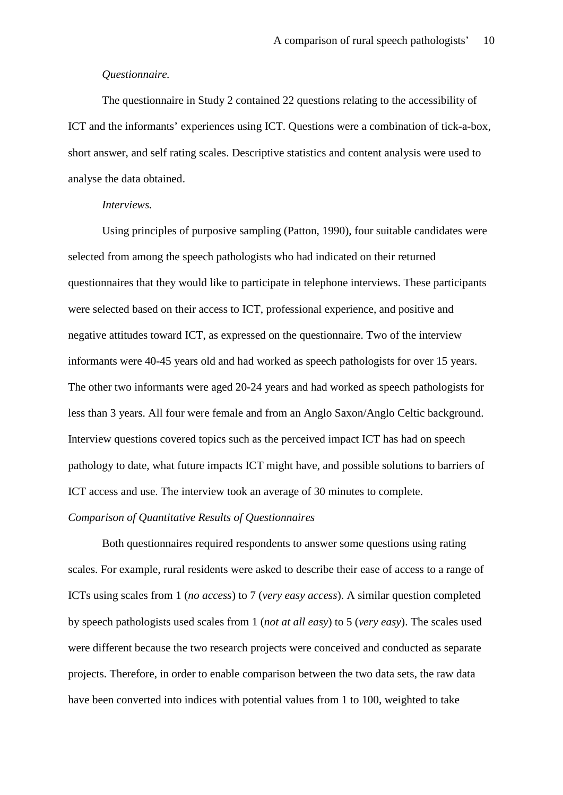#### *Questionnaire.*

The questionnaire in Study 2 contained 22 questions relating to the accessibility of ICT and the informants' experiences using ICT. Questions were a combination of tick-a-box, short answer, and self rating scales. Descriptive statistics and content analysis were used to analyse the data obtained.

#### *Interviews.*

Using principles of purposive sampling (Patton, 1990), four suitable candidates were selected from among the speech pathologists who had indicated on their returned questionnaires that they would like to participate in telephone interviews. These participants were selected based on their access to ICT, professional experience, and positive and negative attitudes toward ICT, as expressed on the questionnaire. Two of the interview informants were 40-45 years old and had worked as speech pathologists for over 15 years. The other two informants were aged 20-24 years and had worked as speech pathologists for less than 3 years. All four were female and from an Anglo Saxon/Anglo Celtic background. Interview questions covered topics such as the perceived impact ICT has had on speech pathology to date, what future impacts ICT might have, and possible solutions to barriers of ICT access and use. The interview took an average of 30 minutes to complete.

#### *Comparison of Quantitative Results of Questionnaires*

Both questionnaires required respondents to answer some questions using rating scales. For example, rural residents were asked to describe their ease of access to a range of ICTs using scales from 1 (*no access*) to 7 (*very easy access*). A similar question completed by speech pathologists used scales from 1 (*not at all easy*) to 5 (*very easy*). The scales used were different because the two research projects were conceived and conducted as separate projects. Therefore, in order to enable comparison between the two data sets, the raw data have been converted into indices with potential values from 1 to 100, weighted to take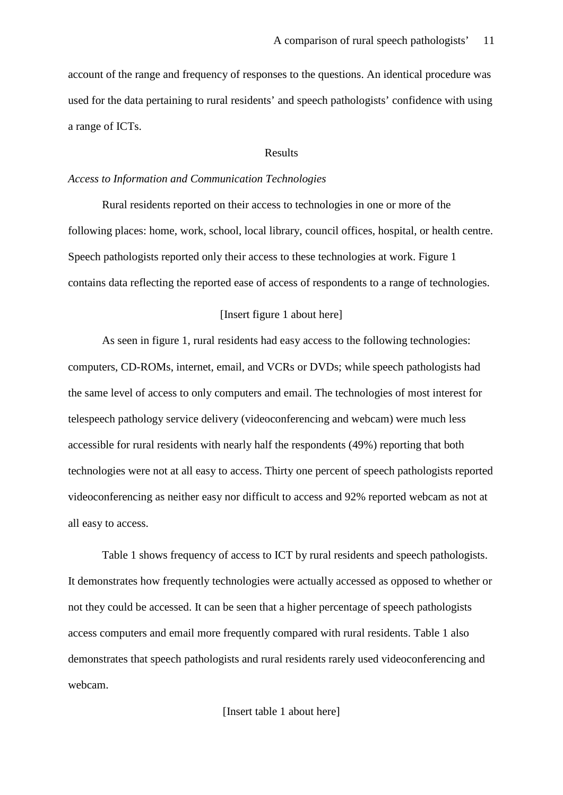account of the range and frequency of responses to the questions. An identical procedure was used for the data pertaining to rural residents' and speech pathologists' confidence with using a range of ICTs.

#### Results

#### *Access to Information and Communication Technologies*

Rural residents reported on their access to technologies in one or more of the following places: home, work, school, local library, council offices, hospital, or health centre. Speech pathologists reported only their access to these technologies at work. Figure 1 contains data reflecting the reported ease of access of respondents to a range of technologies.

#### [Insert figure 1 about here]

As seen in figure 1, rural residents had easy access to the following technologies: computers, CD-ROMs, internet, email, and VCRs or DVDs; while speech pathologists had the same level of access to only computers and email. The technologies of most interest for telespeech pathology service delivery (videoconferencing and webcam) were much less accessible for rural residents with nearly half the respondents (49%) reporting that both technologies were not at all easy to access. Thirty one percent of speech pathologists reported videoconferencing as neither easy nor difficult to access and 92% reported webcam as not at all easy to access.

Table 1 shows frequency of access to ICT by rural residents and speech pathologists. It demonstrates how frequently technologies were actually accessed as opposed to whether or not they could be accessed. It can be seen that a higher percentage of speech pathologists access computers and email more frequently compared with rural residents. Table 1 also demonstrates that speech pathologists and rural residents rarely used videoconferencing and webcam.

[Insert table 1 about here]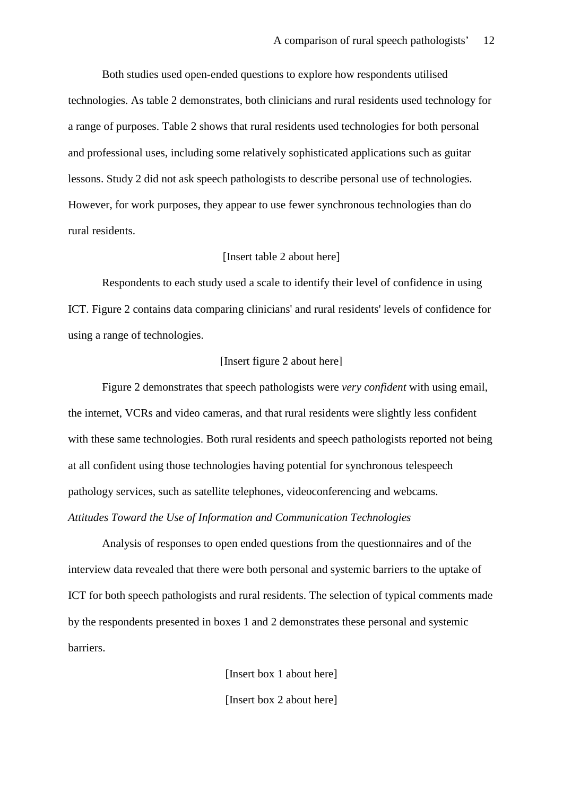Both studies used open-ended questions to explore how respondents utilised technologies. As table 2 demonstrates, both clinicians and rural residents used technology for a range of purposes. Table 2 shows that rural residents used technologies for both personal and professional uses, including some relatively sophisticated applications such as guitar lessons. Study 2 did not ask speech pathologists to describe personal use of technologies. However, for work purposes, they appear to use fewer synchronous technologies than do rural residents.

#### [Insert table 2 about here]

Respondents to each study used a scale to identify their level of confidence in using ICT. Figure 2 contains data comparing clinicians' and rural residents' levels of confidence for using a range of technologies.

#### [Insert figure 2 about here]

Figure 2 demonstrates that speech pathologists were *very confident* with using email, the internet, VCRs and video cameras, and that rural residents were slightly less confident with these same technologies. Both rural residents and speech pathologists reported not being at all confident using those technologies having potential for synchronous telespeech pathology services, such as satellite telephones, videoconferencing and webcams. *Attitudes Toward the Use of Information and Communication Technologies* 

Analysis of responses to open ended questions from the questionnaires and of the interview data revealed that there were both personal and systemic barriers to the uptake of ICT for both speech pathologists and rural residents. The selection of typical comments made by the respondents presented in boxes 1 and 2 demonstrates these personal and systemic barriers.

> [Insert box 1 about here] [Insert box 2 about here]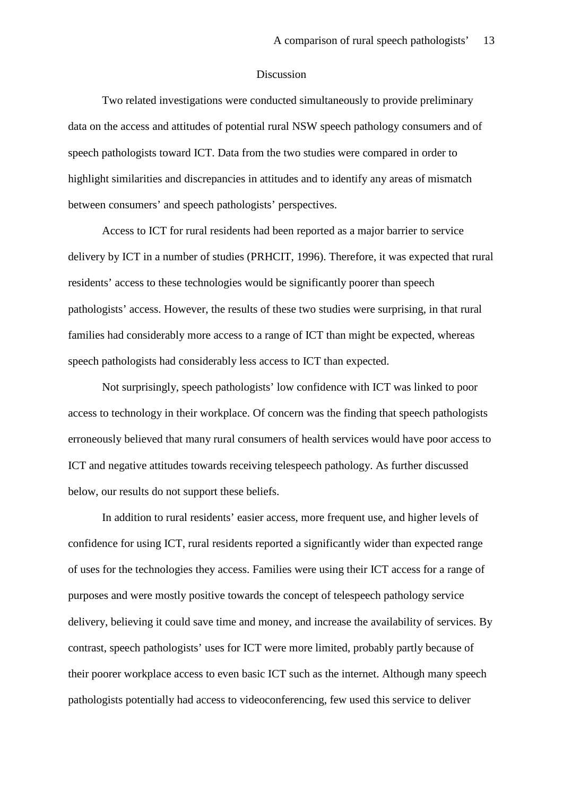#### Discussion

Two related investigations were conducted simultaneously to provide preliminary data on the access and attitudes of potential rural NSW speech pathology consumers and of speech pathologists toward ICT. Data from the two studies were compared in order to highlight similarities and discrepancies in attitudes and to identify any areas of mismatch between consumers' and speech pathologists' perspectives.

Access to ICT for rural residents had been reported as a major barrier to service delivery by ICT in a number of studies (PRHCIT, 1996). Therefore, it was expected that rural residents' access to these technologies would be significantly poorer than speech pathologists' access. However, the results of these two studies were surprising, in that rural families had considerably more access to a range of ICT than might be expected, whereas speech pathologists had considerably less access to ICT than expected.

Not surprisingly, speech pathologists' low confidence with ICT was linked to poor access to technology in their workplace. Of concern was the finding that speech pathologists erroneously believed that many rural consumers of health services would have poor access to ICT and negative attitudes towards receiving telespeech pathology. As further discussed below, our results do not support these beliefs.

In addition to rural residents' easier access, more frequent use, and higher levels of confidence for using ICT, rural residents reported a significantly wider than expected range of uses for the technologies they access. Families were using their ICT access for a range of purposes and were mostly positive towards the concept of telespeech pathology service delivery, believing it could save time and money, and increase the availability of services. By contrast, speech pathologists' uses for ICT were more limited, probably partly because of their poorer workplace access to even basic ICT such as the internet. Although many speech pathologists potentially had access to videoconferencing, few used this service to deliver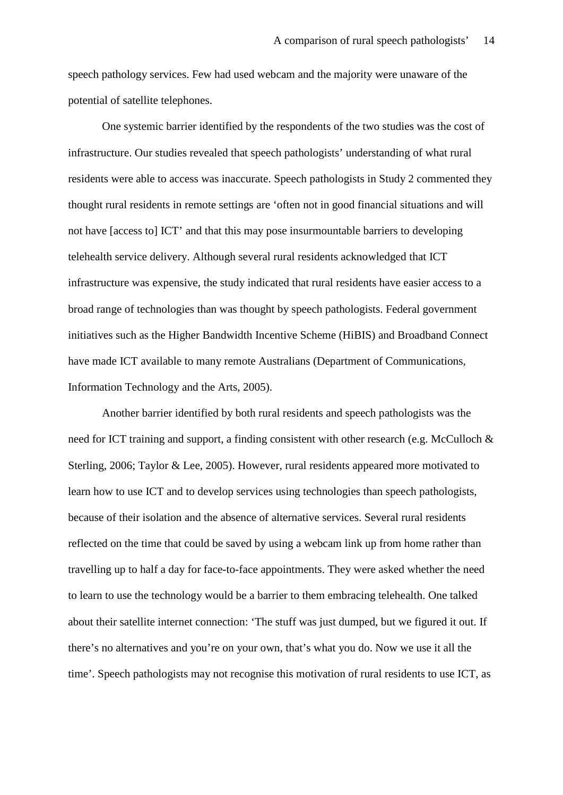speech pathology services. Few had used webcam and the majority were unaware of the potential of satellite telephones.

One systemic barrier identified by the respondents of the two studies was the cost of infrastructure. Our studies revealed that speech pathologists' understanding of what rural residents were able to access was inaccurate. Speech pathologists in Study 2 commented they thought rural residents in remote settings are 'often not in good financial situations and will not have [access to] ICT' and that this may pose insurmountable barriers to developing telehealth service delivery. Although several rural residents acknowledged that ICT infrastructure was expensive, the study indicated that rural residents have easier access to a broad range of technologies than was thought by speech pathologists. Federal government initiatives such as the Higher Bandwidth Incentive Scheme (HiBIS) and Broadband Connect have made ICT available to many remote Australians (Department of Communications, Information Technology and the Arts, 2005).

Another barrier identified by both rural residents and speech pathologists was the need for ICT training and support, a finding consistent with other research (e.g. McCulloch & Sterling, 2006; Taylor & Lee, 2005). However, rural residents appeared more motivated to learn how to use ICT and to develop services using technologies than speech pathologists, because of their isolation and the absence of alternative services. Several rural residents reflected on the time that could be saved by using a webcam link up from home rather than travelling up to half a day for face-to-face appointments. They were asked whether the need to learn to use the technology would be a barrier to them embracing telehealth. One talked about their satellite internet connection: 'The stuff was just dumped, but we figured it out. If there's no alternatives and you're on your own, that's what you do. Now we use it all the time'. Speech pathologists may not recognise this motivation of rural residents to use ICT, as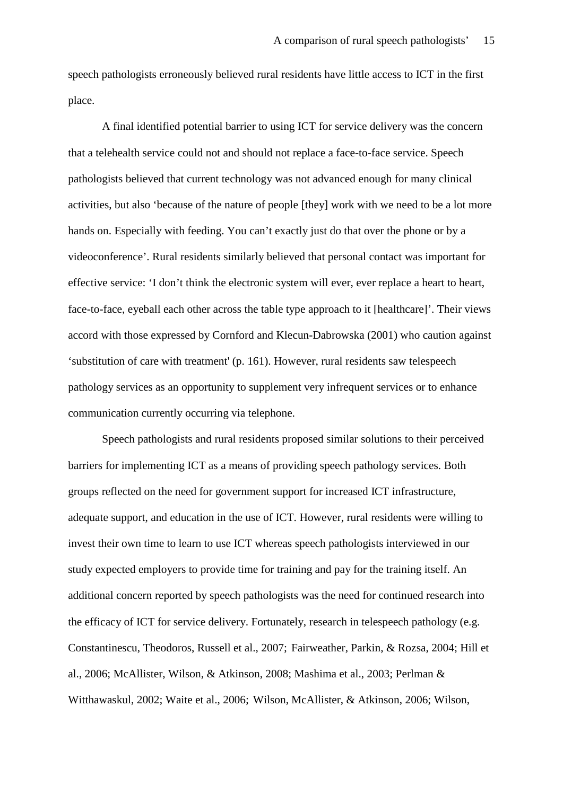speech pathologists erroneously believed rural residents have little access to ICT in the first place.

A final identified potential barrier to using ICT for service delivery was the concern that a telehealth service could not and should not replace a face-to-face service. Speech pathologists believed that current technology was not advanced enough for many clinical activities, but also 'because of the nature of people [they] work with we need to be a lot more hands on. Especially with feeding. You can't exactly just do that over the phone or by a videoconference'. Rural residents similarly believed that personal contact was important for effective service: 'I don't think the electronic system will ever, ever replace a heart to heart, face-to-face, eyeball each other across the table type approach to it [healthcare]'. Their views accord with those expressed by Cornford and Klecun-Dabrowska (2001) who caution against 'substitution of care with treatment' (p. 161). However, rural residents saw telespeech pathology services as an opportunity to supplement very infrequent services or to enhance communication currently occurring via telephone.

Speech pathologists and rural residents proposed similar solutions to their perceived barriers for implementing ICT as a means of providing speech pathology services. Both groups reflected on the need for government support for increased ICT infrastructure, adequate support, and education in the use of ICT. However, rural residents were willing to invest their own time to learn to use ICT whereas speech pathologists interviewed in our study expected employers to provide time for training and pay for the training itself. An additional concern reported by speech pathologists was the need for continued research into the efficacy of ICT for service delivery. Fortunately, research in telespeech pathology (e.g. Constantinescu, Theodoros, Russell et al., 2007; Fairweather, Parkin, & Rozsa, 2004; Hill et al., 2006; McAllister, Wilson, & Atkinson, 2008; Mashima et al., 2003; Perlman & Witthawaskul, 2002; Waite et al., 2006; Wilson, McAllister, & Atkinson, 2006; Wilson,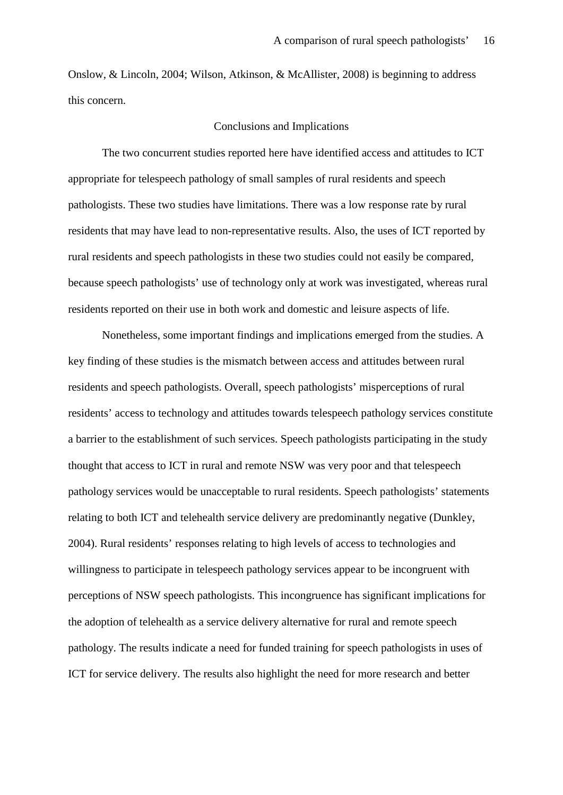Onslow, & Lincoln, 2004; Wilson, Atkinson, & McAllister, 2008) is beginning to address this concern.

#### Conclusions and Implications

The two concurrent studies reported here have identified access and attitudes to ICT appropriate for telespeech pathology of small samples of rural residents and speech pathologists. These two studies have limitations. There was a low response rate by rural residents that may have lead to non-representative results. Also, the uses of ICT reported by rural residents and speech pathologists in these two studies could not easily be compared, because speech pathologists' use of technology only at work was investigated, whereas rural residents reported on their use in both work and domestic and leisure aspects of life.

Nonetheless, some important findings and implications emerged from the studies. A key finding of these studies is the mismatch between access and attitudes between rural residents and speech pathologists. Overall, speech pathologists' misperceptions of rural residents' access to technology and attitudes towards telespeech pathology services constitute a barrier to the establishment of such services. Speech pathologists participating in the study thought that access to ICT in rural and remote NSW was very poor and that telespeech pathology services would be unacceptable to rural residents. Speech pathologists' statements relating to both ICT and telehealth service delivery are predominantly negative (Dunkley, 2004). Rural residents' responses relating to high levels of access to technologies and willingness to participate in telespeech pathology services appear to be incongruent with perceptions of NSW speech pathologists. This incongruence has significant implications for the adoption of telehealth as a service delivery alternative for rural and remote speech pathology. The results indicate a need for funded training for speech pathologists in uses of ICT for service delivery. The results also highlight the need for more research and better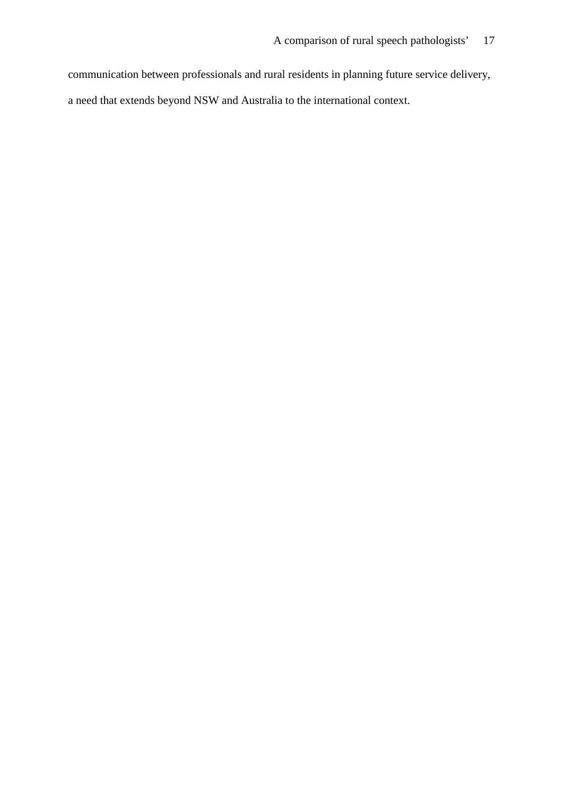communication between professionals and rural residents in planning future service delivery, a need that extends beyond NSW and Australia to the international context.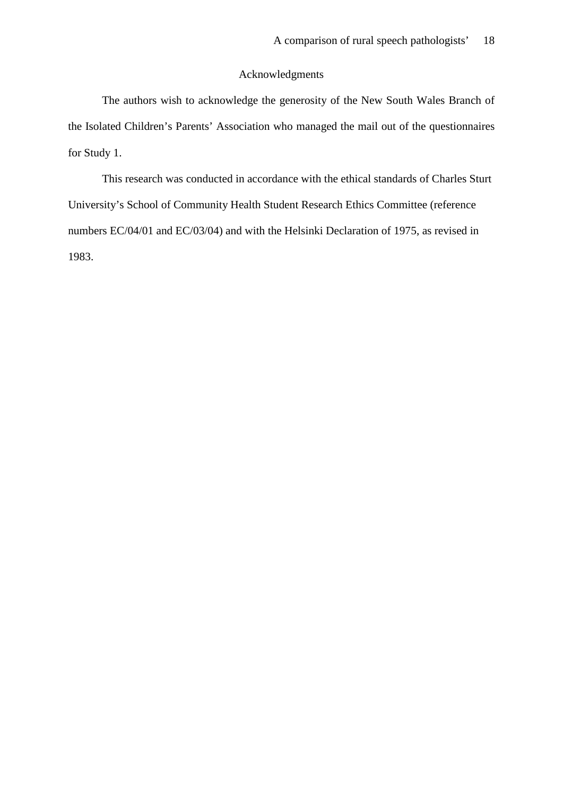#### Acknowledgments

The authors wish to acknowledge the generosity of the New South Wales Branch of the Isolated Children's Parents' Association who managed the mail out of the questionnaires for Study 1.

This research was conducted in accordance with the ethical standards of Charles Sturt University's School of Community Health Student Research Ethics Committee (reference numbers EC/04/01 and EC/03/04) and with the Helsinki Declaration of 1975, as revised in 1983.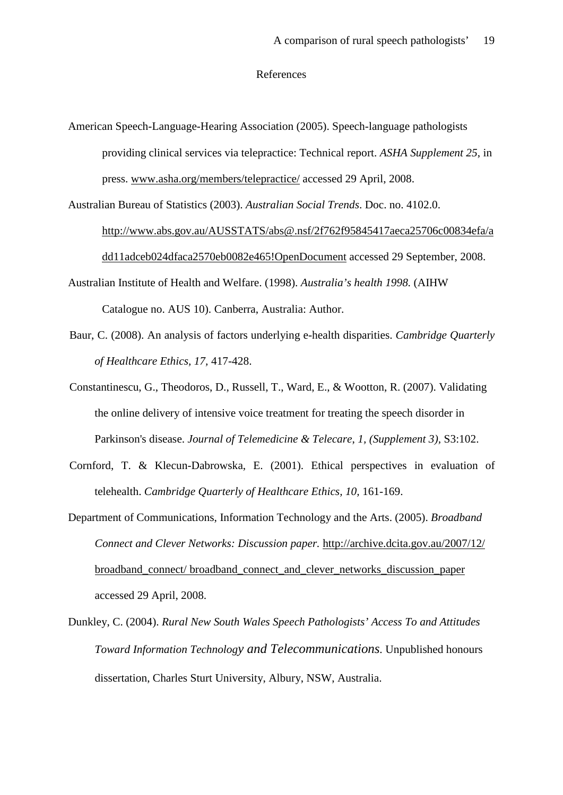#### References

American Speech-Language-Hearing Association (2005). Speech-language pathologists providing clinical services via telepractice: Technical report. *ASHA Supplement 25*, in press. www.asha.org/members/telepractice/ accessed 29 April, 2008.

Australian Bureau of Statistics (2003). *Australian Social Trends*. Doc. no. 4102.0. http://www.abs.gov.au/AUSSTATS/abs@.nsf/2f762f95845417aeca25706c00834efa/a dd11adceb024dfaca2570eb0082e465!OpenDocument accessed 29 September, 2008.

Australian Institute of Health and Welfare. (1998). *Australia's health 1998.* (AIHW Catalogue no. AUS 10). Canberra, Australia: Author.

- Baur, C. (2008). An analysis of factors underlying e-health disparities. *Cambridge Quarterly of Healthcare Ethics, 17,* 417-428.
- Constantinescu, G., Theodoros, D., Russell, T., Ward, E., & Wootton, R. (2007). [Validating](http://web.ebscohost.com/ehost/viewarticle?data=dGJyMPPp44rp2%2fdV0%2bnjisfk5Ie46bFLtquvSbKk63nn5Kx95uXxjL6vrUqwpbBIrq6eSbCwsVG4q7I4v8OkjPDX7Ivf2fKB7eTnfLurr0uvq7BKrqakhN%2fk5VXj5KR84LPwkuac8nnls79mpNfsVbCmrlG3prBPs6ekfu3o63nys%2bSN6uLyffbq&hid=103)  [the online delivery of intensive voice treatment for treating the speech disorder in](http://web.ebscohost.com/ehost/viewarticle?data=dGJyMPPp44rp2%2fdV0%2bnjisfk5Ie46bFLtquvSbKk63nn5Kx95uXxjL6vrUqwpbBIrq6eSbCwsVG4q7I4v8OkjPDX7Ivf2fKB7eTnfLurr0uvq7BKrqakhN%2fk5VXj5KR84LPwkuac8nnls79mpNfsVbCmrlG3prBPs6ekfu3o63nys%2bSN6uLyffbq&hid=103)  [Parkinson's disease.](http://web.ebscohost.com/ehost/viewarticle?data=dGJyMPPp44rp2%2fdV0%2bnjisfk5Ie46bFLtquvSbKk63nn5Kx95uXxjL6vrUqwpbBIrq6eSbCwsVG4q7I4v8OkjPDX7Ivf2fKB7eTnfLurr0uvq7BKrqakhN%2fk5VXj5KR84LPwkuac8nnls79mpNfsVbCmrlG3prBPs6ekfu3o63nys%2bSN6uLyffbq&hid=103) *Journal of Telemedicine & Telecare*, *1, (Supplement 3),* S3:102.
- Cornford, T. & Klecun-Dabrowska, E. (2001). Ethical perspectives in evaluation of telehealth. *Cambridge Quarterly of Healthcare Ethics, 10,* 161-169.
- Department of Communications, Information Technology and the Arts. (2005). *Broadband Connect and Clever Networks: Discussion paper.* http://archive.dcita.gov.au/2007/12/ broadband\_connect/ broadband\_connect\_and\_clever\_networks\_discussion\_paper accessed 29 April, 2008.
- Dunkley, C. (2004). *Rural New South Wales Speech Pathologists' Access To and Attitudes Toward Information Technology and Telecommunications.* Unpublished honours dissertation, Charles Sturt University, Albury, NSW, Australia.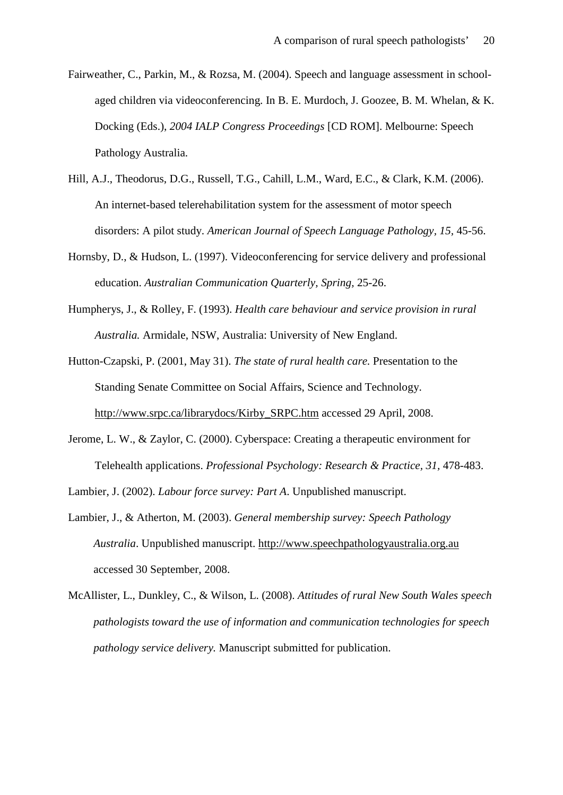- Fairweather, C., Parkin, M., & Rozsa, M. (2004). Speech and language assessment in schoolaged children via videoconferencing. In B. E. Murdoch, J. Goozee, B. M. Whelan, & K. Docking (Eds.), *2004 IALP Congress Proceedings* [CD ROM]. Melbourne: Speech Pathology Australia.
- Hill, A.J., Theodorus, D.G., Russell, T.G., Cahill, L.M., Ward, E.C., & Clark, K.M. (2006). An internet-based telerehabilitation system for the assessment of motor speech disorders: A pilot study. *American Journal of Speech Language Pathology, 15,* 45-56.
- Hornsby, D., & Hudson, L. (1997). Videoconferencing for service delivery and professional education. *Australian Communication Quarterly, Spring,* 25-26.
- Humpherys, J., & Rolley, F. (1993). *Health care behaviour and service provision in rural Australia.* Armidale, NSW, Australia: University of New England.
- Hutton-Czapski, P. (2001, May 31). *The state of rural health care.* Presentation to the Standing Senate Committee on Social Affairs, Science and Technology. [http://www.srpc.ca/librarydocs/Kirby\\_SRPC.htm](http://www.srpc.ca/librarydocs/Kirby_SRPC.htm) accessed 29 April, 2008.
- Jerome, L. W., & Zaylor, C. (2000). Cyberspace: Creating a therapeutic environment for Telehealth applications. *Professional Psychology: Research & Practice, 31,* 478-483.

Lambier, J. (2002). *Labour force survey: Part A*. Unpublished manuscript.

- Lambier, J., & Atherton, M. (2003). *General membership survey: Speech Pathology Australia*. Unpublished manuscript. http://www.speechpathologyaustralia.org.au accessed 30 September, 2008.
- McAllister, L., Dunkley, C., & Wilson, L. (2008). *Attitudes of rural New South Wales speech pathologists toward the use of information and communication technologies for speech pathology service delivery.* Manuscript submitted for publication.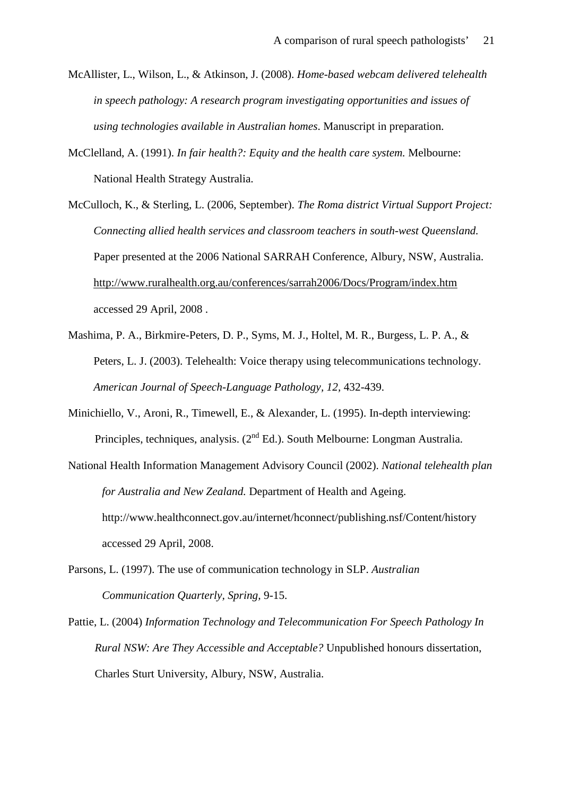- McAllister, L., Wilson, L., & Atkinson, J. (2008). *Home-based webcam delivered telehealth in speech pathology: A research program investigating opportunities and issues of using technologies available in Australian homes*. Manuscript in preparation.
- McClelland, A. (1991). *In fair health?: Equity and the health care system.* Melbourne: National Health Strategy Australia.
- McCulloch, K., & Sterling, L. (2006, September). *The Roma district Virtual Support Project: Connecting allied health services and classroom teachers in south-west Queensland.* Paper presented at the 2006 National SARRAH Conference, Albury, NSW, Australia. [http://www.ruralhealth.org.au/conferences/sarrah2006/Docs/Program/index.htm](http://www.ruralhealth.org.au/conferences/%20sarrah2006/Docs/Program/index.htm) accessed 29 April, 2008 .
- Mashima, P. A., Birkmire-Peters, D. P., Syms, M. J., Holtel, M. R., Burgess, L. P. A., & Peters, L. J. (2003). Telehealth: Voice therapy using telecommunications technology. *American Journal of Speech-Language Pathology, 12,* 432-439.
- Minichiello, V., Aroni, R., Timewell, E., & Alexander, L. (1995). In-depth interviewing: Principles, techniques, analysis.  $(2^{nd} Ed.)$ . South Melbourne: Longman Australia.
- National Health Information Management Advisory Council (2002). *National telehealth plan for Australia and New Zealand.* Department of Health and Ageing. http://www.healthconnect.gov.au/internet/hconnect/publishing.nsf/Content/history accessed 29 April, 2008.
- Parsons, L. (1997). The use of communication technology in SLP. *Australian Communication Quarterly, Spring,* 9-15.
- Pattie, L. (2004) *Information Technology and Telecommunication For Speech Pathology In Rural NSW: Are They Accessible and Acceptable?* Unpublished honours dissertation, Charles Sturt University, Albury, NSW, Australia.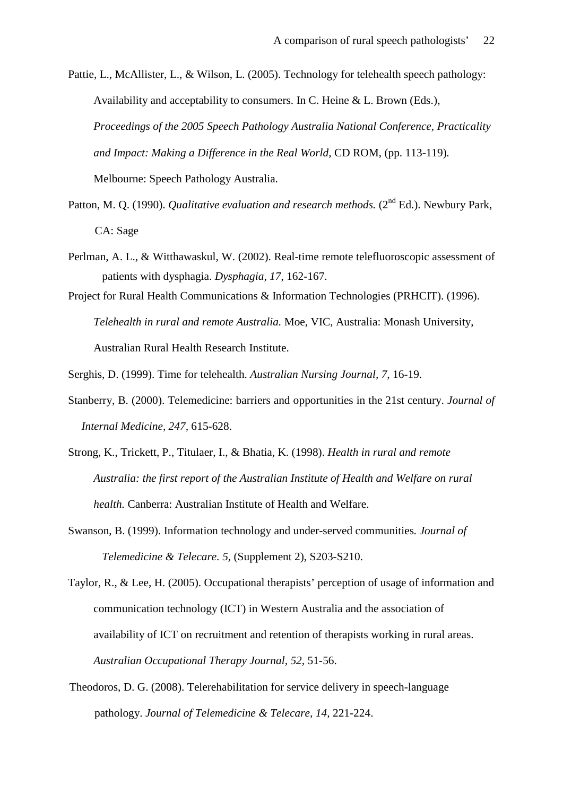Pattie, L., McAllister, L., & Wilson, L. (2005). Technology for telehealth speech pathology: Availability and acceptability to consumers. In C. Heine & L. Brown (Eds.), *Proceedings of the 2005 Speech Pathology Australia National Conference, Practicality and Impact: Making a Difference in the Real World,* CD ROM, (pp. 113-119)*.* Melbourne: Speech Pathology Australia.

- Patton, M. Q. (1990). *Qualitative evaluation and research methods.* (2<sup>nd</sup> Ed.). Newbury Park, CA: Sage
- Perlman, A. L., & Witthawaskul, W. (2002). Real-time remote telefluoroscopic assessment of patients with dysphagia. *Dysphagia, 17*, 162-167.
- Project for Rural Health Communications & Information Technologies (PRHCIT). (1996). *Telehealth in rural and remote Australia.* Moe, VIC, Australia: Monash University, Australian Rural Health Research Institute.
- Serghis, D. (1999). Time for telehealth. *Australian Nursing Journal, 7,* 16-19.
- Stanberry, B. (2000). Telemedicine: barriers and opportunities in the 21st century. *Journal of Internal Medicine, 247,* 615-628.
- Strong, K., Trickett, P., Titulaer, I., & Bhatia, K. (1998). *Health in rural and remote Australia: the first report of the Australian Institute of Health and Welfare on rural health.* Canberra: Australian Institute of Health and Welfare.
- Swanson, B. (1999). Information technology and under-served communities*. Journal of Telemedicine & Telecare. 5,* (Supplement 2), S203-S210.

Taylor, R., & Lee, H. (2005). Occupational therapists' perception of usage of information and communication technology (ICT) in Western Australia and the association of availability of ICT on recruitment and retention of therapists working in rural areas. *Australian Occupational Therapy Journal, 52,* 51-56.

Theodoros, D. G. (2008). Telerehabilitation for service delivery in speech-language pathology. *Journal of Telemedicine & Telecare, 14,* 221-224.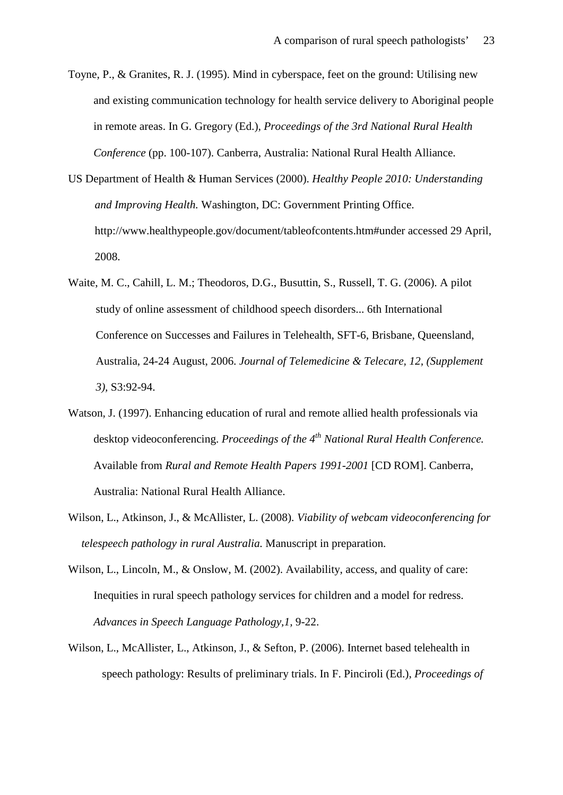- Toyne, P., & Granites, R. J. (1995). Mind in cyberspace, feet on the ground: Utilising new and existing communication technology for health service delivery to Aboriginal people in remote areas. In G. Gregory (Ed.), *Proceedings of the 3rd National Rural Health Conference* (pp. 100-107). Canberra, Australia: National Rural Health Alliance.
- US Department of Health & Human Services (2000). *Healthy People 2010: Understanding and Improving Health.* Washington, DC: Government Printing Office. http://www.healthypeople.gov/document/tableofcontents.htm#under accessed 29 April, 2008.
- Waite, M. C., Cahill, L. M.; Theodoros, D.G., Busuttin, S., Russell, T. G. (2006). [A pilot](http://web.ebscohost.com/ehost/viewarticle?data=dGJyMPPp44rp2%2fdV0%2bnjisfk5Ie46bFLtquvSbKk63nn5Kx95uXxjL6vrUqwpbBIrq6eSbCwsVG4q7I4v8OkjPDX7Ivf2fKB7eTnfLurr0uvq7BKrqakhN%2fk5VXj5KR84LPwkuac8nnls79mpNfsVbCmrlGzqa5Ltqakfu3o63nys%2bSN6uLyffbq&hid=103)  [study of online assessment of childhood speech disorders... 6th International](http://web.ebscohost.com/ehost/viewarticle?data=dGJyMPPp44rp2%2fdV0%2bnjisfk5Ie46bFLtquvSbKk63nn5Kx95uXxjL6vrUqwpbBIrq6eSbCwsVG4q7I4v8OkjPDX7Ivf2fKB7eTnfLurr0uvq7BKrqakhN%2fk5VXj5KR84LPwkuac8nnls79mpNfsVbCmrlGzqa5Ltqakfu3o63nys%2bSN6uLyffbq&hid=103)  [Conference on Successes and Failures in Telehealth, SFT-6, Brisbane, Queensland,](http://web.ebscohost.com/ehost/viewarticle?data=dGJyMPPp44rp2%2fdV0%2bnjisfk5Ie46bFLtquvSbKk63nn5Kx95uXxjL6vrUqwpbBIrq6eSbCwsVG4q7I4v8OkjPDX7Ivf2fKB7eTnfLurr0uvq7BKrqakhN%2fk5VXj5KR84LPwkuac8nnls79mpNfsVbCmrlGzqa5Ltqakfu3o63nys%2bSN6uLyffbq&hid=103)  [Australia, 24-24 August, 2006.](http://web.ebscohost.com/ehost/viewarticle?data=dGJyMPPp44rp2%2fdV0%2bnjisfk5Ie46bFLtquvSbKk63nn5Kx95uXxjL6vrUqwpbBIrq6eSbCwsVG4q7I4v8OkjPDX7Ivf2fKB7eTnfLurr0uvq7BKrqakhN%2fk5VXj5KR84LPwkuac8nnls79mpNfsVbCmrlGzqa5Ltqakfu3o63nys%2bSN6uLyffbq&hid=103) *Journal of Telemedicine & Telecare, 12, (Supplement 3),* S3:92-94.
- Watson, J. (1997). Enhancing education of rural and remote allied health professionals via desktop videoconferencing. *Proceedings of the 4th National Rural Health Conference.* Available from *Rural and Remote Health Papers 1991-2001* [CD ROM]. Canberra, Australia: National Rural Health Alliance.
- Wilson, L., Atkinson, J., & McAllister, L. (2008). *Viability of webcam videoconferencing for telespeech pathology in rural Australia.* Manuscript in preparation.
- Wilson, L., Lincoln, M., & Onslow, M. (2002). Availability, access, and quality of care: Inequities in rural speech pathology services for children and a model for redress. *Advances in Speech Language Pathology,1,* 9-22.
- Wilson, L., McAllister, L., Atkinson, J., & Sefton, P. (2006). Internet based telehealth in speech pathology: Results of preliminary trials. In F. Pinciroli (Ed.), *Proceedings of*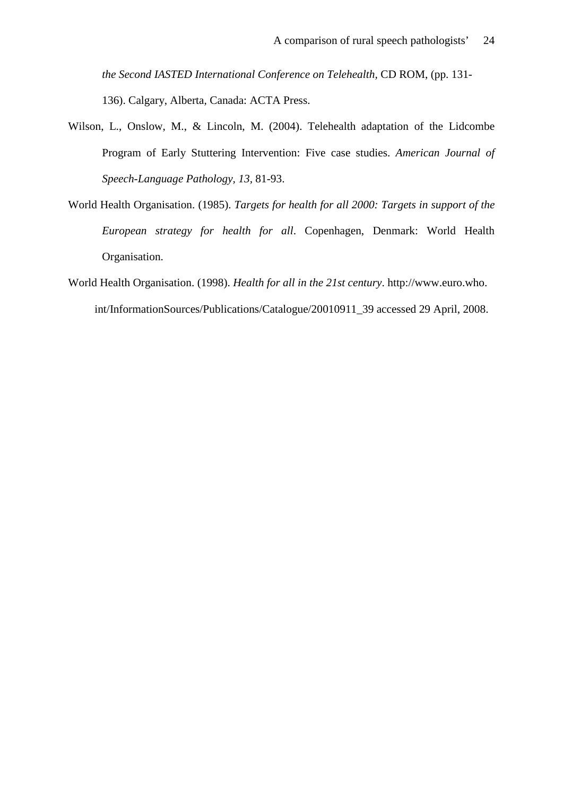*the Second IASTED International Conference on Telehealth,* CD ROM, (pp. 131- 136). Calgary, Alberta, Canada: ACTA Press.

- Wilson, L., Onslow, M., & Lincoln, M. (2004). Telehealth adaptation of the Lidcombe Program of Early Stuttering Intervention: Five case studies. *American Journal of Speech-Language Pathology, 13,* 81-93.
- World Health Organisation. (1985). *Targets for health for all 2000: Targets in support of the European strategy for health for all*. Copenhagen, Denmark: World Health Organisation.
- World Health Organisation. (1998). *Health for all in the 21st century*. http://www.euro.who. int/InformationSources/Publications/Catalogue/20010911\_39 accessed 29 April, 2008.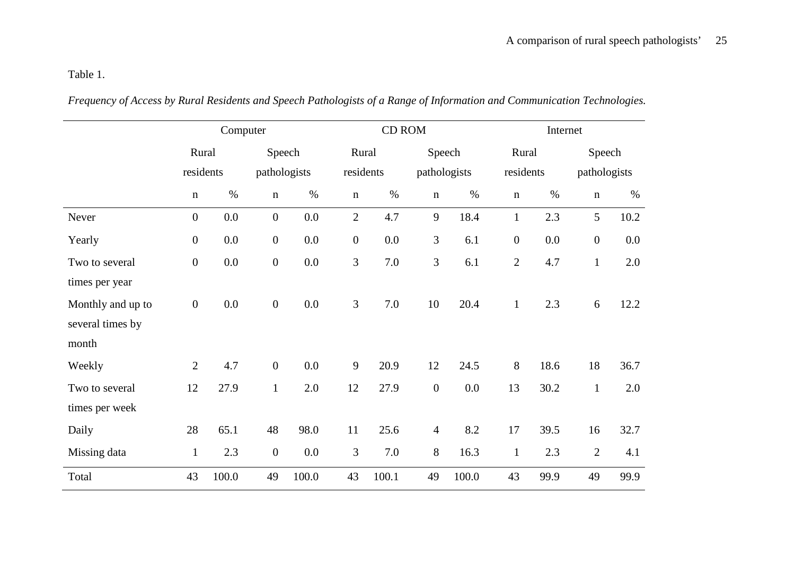Table 1.

|                   | Computer         |       |                  |         | CD ROM           |           |                |              | Internet         |           |                  |              |  |
|-------------------|------------------|-------|------------------|---------|------------------|-----------|----------------|--------------|------------------|-----------|------------------|--------------|--|
|                   | Rural            |       | Speech           |         | Rural            |           | Speech         |              | Rural            |           | Speech           |              |  |
|                   | residents        |       | pathologists     |         |                  | residents |                | pathologists |                  | residents |                  | pathologists |  |
|                   | $\mathbf n$      | $\%$  | $\mathbf n$      | $\%$    | $\mathbf n$      | $\%$      | $\mathbf n$    | $\%$         | $\mathbf n$      | $\%$      | $\mathbf n$      | $\%$         |  |
| Never             | $\boldsymbol{0}$ | 0.0   | $\boldsymbol{0}$ | 0.0     | $\overline{2}$   | 4.7       | 9              | 18.4         | $\mathbf{1}$     | 2.3       | 5                | 10.2         |  |
| Yearly            | $\boldsymbol{0}$ | 0.0   | $\boldsymbol{0}$ | 0.0     | $\boldsymbol{0}$ | 0.0       | 3              | 6.1          | $\boldsymbol{0}$ | 0.0       | $\boldsymbol{0}$ | 0.0          |  |
| Two to several    | $\boldsymbol{0}$ | 0.0   | $\boldsymbol{0}$ | 0.0     | 3                | 7.0       | $\overline{3}$ | 6.1          | $\mathbf{2}$     | 4.7       | $\mathbf{1}$     | 2.0          |  |
| times per year    |                  |       |                  |         |                  |           |                |              |                  |           |                  |              |  |
| Monthly and up to | $\boldsymbol{0}$ | 0.0   | $\boldsymbol{0}$ | 0.0     | 3                | 7.0       | 10             | 20.4         | $\mathbf{1}$     | 2.3       | 6                | 12.2         |  |
| several times by  |                  |       |                  |         |                  |           |                |              |                  |           |                  |              |  |
| month             |                  |       |                  |         |                  |           |                |              |                  |           |                  |              |  |
| Weekly            | $\overline{2}$   | 4.7   | $\mathbf{0}$     | 0.0     | 9                | 20.9      | 12             | 24.5         | 8                | 18.6      | 18               | 36.7         |  |
| Two to several    | 12               | 27.9  | $\mathbf{1}$     | 2.0     | 12               | 27.9      | $\overline{0}$ | 0.0          | 13               | 30.2      | $\mathbf{1}$     | 2.0          |  |
| times per week    |                  |       |                  |         |                  |           |                |              |                  |           |                  |              |  |
| Daily             | 28               | 65.1  | 48               | 98.0    | 11               | 25.6      | $\overline{4}$ | 8.2          | 17               | 39.5      | 16               | 32.7         |  |
| Missing data      | $\mathbf{1}$     | 2.3   | $\boldsymbol{0}$ | $0.0\,$ | $\mathfrak{Z}$   | 7.0       | 8              | 16.3         | $\mathbf{1}$     | 2.3       | $\mathbf{2}$     | 4.1          |  |
| Total             | 43               | 100.0 | 49               | 100.0   | 43               | 100.1     | 49             | 100.0        | 43               | 99.9      | 49               | 99.9         |  |

*Frequency of Access by Rural Residents and Speech Pathologists of a Range of Information and Communication Technologies.*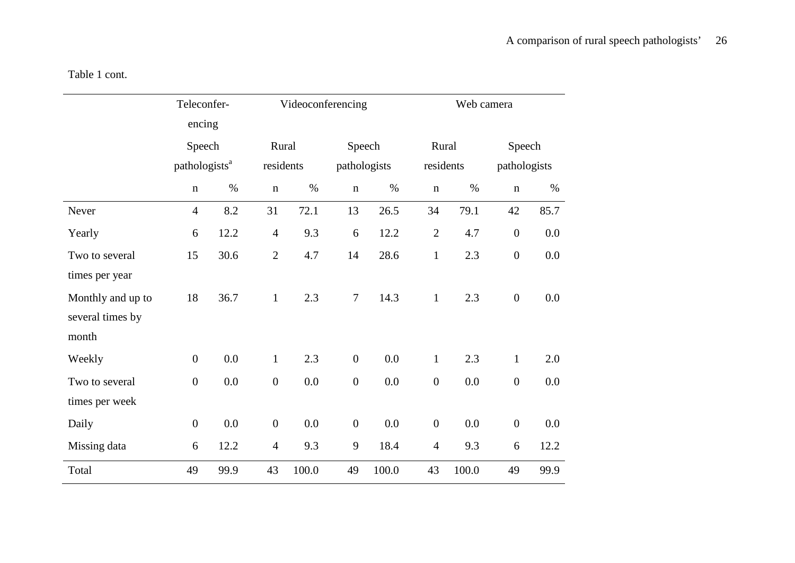|                   | Teleconfer-<br>encing     |      |                  |           | Videoconferencing |              |                  | Web camera |                  |              |  |
|-------------------|---------------------------|------|------------------|-----------|-------------------|--------------|------------------|------------|------------------|--------------|--|
|                   | Speech                    |      |                  | Rural     |                   | Speech       |                  | Rural      |                  | Speech       |  |
|                   | pathologists <sup>a</sup> |      |                  | residents |                   | pathologists |                  | residents  |                  | pathologists |  |
|                   | $\mathbf n$               | $\%$ | $\mathbf n$      | $\%$      | $\mathbf n$       | $\%$         | $\mathbf n$      | $\%$       | $\mathbf n$      | $\%$         |  |
| Never             | $\overline{4}$            | 8.2  | 31               | 72.1      | 13                | 26.5         | 34               | 79.1       | 42               | 85.7         |  |
| Yearly            | 6                         | 12.2 | $\overline{4}$   | 9.3       | 6                 | 12.2         | $\overline{2}$   | 4.7        | $\boldsymbol{0}$ | 0.0          |  |
| Two to several    | 15                        | 30.6 | $\overline{2}$   | 4.7       | 14                | 28.6         | $\mathbf{1}$     | 2.3        | $\boldsymbol{0}$ | 0.0          |  |
| times per year    |                           |      |                  |           |                   |              |                  |            |                  |              |  |
| Monthly and up to | 18                        | 36.7 | $\mathbf{1}$     | 2.3       | $\overline{7}$    | 14.3         | $\mathbf{1}$     | 2.3        | $\boldsymbol{0}$ | 0.0          |  |
| several times by  |                           |      |                  |           |                   |              |                  |            |                  |              |  |
| month             |                           |      |                  |           |                   |              |                  |            |                  |              |  |
| Weekly            | $\boldsymbol{0}$          | 0.0  | $\mathbf{1}$     | 2.3       | $\boldsymbol{0}$  | 0.0          | $\mathbf{1}$     | 2.3        | $\mathbf{1}$     | 2.0          |  |
| Two to several    | $\boldsymbol{0}$          | 0.0  | $\boldsymbol{0}$ | 0.0       | $\boldsymbol{0}$  | 0.0          | $\boldsymbol{0}$ | 0.0        | $\boldsymbol{0}$ | 0.0          |  |
| times per week    |                           |      |                  |           |                   |              |                  |            |                  |              |  |
| Daily             | $\boldsymbol{0}$          | 0.0  | $\boldsymbol{0}$ | 0.0       | $\boldsymbol{0}$  | 0.0          | $\boldsymbol{0}$ | 0.0        | $\boldsymbol{0}$ | 0.0          |  |
| Missing data      | 6                         | 12.2 | $\overline{4}$   | 9.3       | 9                 | 18.4         | $\overline{4}$   | 9.3        | 6                | 12.2         |  |
| Total             | 49                        | 99.9 | 43               | 100.0     | 49                | 100.0        | 43               | 100.0      | 49               | 99.9         |  |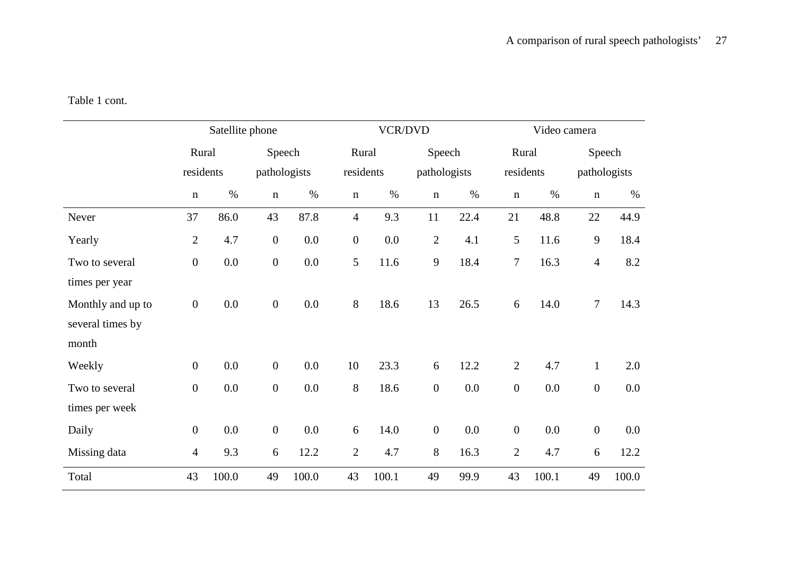Table 1 cont.

|                   | Satellite phone  |        |                  |       |                  | <b>VCR/DVD</b> |                  |              |                  | Video camera |                  |              |  |
|-------------------|------------------|--------|------------------|-------|------------------|----------------|------------------|--------------|------------------|--------------|------------------|--------------|--|
| Rural             |                  | Speech |                  |       | Rural            |                | Speech           |              | Rural            |              | Speech           |              |  |
|                   | residents        |        | pathologists     |       |                  | residents      |                  | pathologists |                  | residents    |                  | pathologists |  |
|                   | $\mathbf n$      | $\%$   | $\mathbf n$      | $\%$  | $\mathbf n$      | $\%$           | $\mathbf n$      | $\%$         | $\mathbf n$      | $\%$         | $\mathbf n$      | $\%$         |  |
| Never             | 37               | 86.0   | 43               | 87.8  | $\overline{4}$   | 9.3            | 11               | 22.4         | 21               | 48.8         | 22               | 44.9         |  |
| Yearly            | $\overline{2}$   | 4.7    | $\boldsymbol{0}$ | 0.0   | $\boldsymbol{0}$ | 0.0            | $\overline{2}$   | 4.1          | 5                | 11.6         | $\mathbf{9}$     | 18.4         |  |
| Two to several    | $\boldsymbol{0}$ | 0.0    | $\boldsymbol{0}$ | 0.0   | 5                | 11.6           | 9                | 18.4         | $\overline{7}$   | 16.3         | $\overline{4}$   | 8.2          |  |
| times per year    |                  |        |                  |       |                  |                |                  |              |                  |              |                  |              |  |
| Monthly and up to | $\boldsymbol{0}$ | 0.0    | $\boldsymbol{0}$ | 0.0   | 8                | 18.6           | 13               | 26.5         | 6                | 14.0         | $\overline{7}$   | 14.3         |  |
| several times by  |                  |        |                  |       |                  |                |                  |              |                  |              |                  |              |  |
| month             |                  |        |                  |       |                  |                |                  |              |                  |              |                  |              |  |
| Weekly            | $\overline{0}$   | 0.0    | $\boldsymbol{0}$ | 0.0   | 10               | 23.3           | 6                | 12.2         | $\overline{2}$   | 4.7          | $\mathbf{1}$     | 2.0          |  |
| Two to several    | $\overline{0}$   | 0.0    | $\overline{0}$   | 0.0   | 8                | 18.6           | $\boldsymbol{0}$ | 0.0          | $\boldsymbol{0}$ | 0.0          | $\boldsymbol{0}$ | 0.0          |  |
| times per week    |                  |        |                  |       |                  |                |                  |              |                  |              |                  |              |  |
| Daily             | $\boldsymbol{0}$ | 0.0    | $\boldsymbol{0}$ | 0.0   | 6                | 14.0           | $\boldsymbol{0}$ | 0.0          | $\boldsymbol{0}$ | 0.0          | $\boldsymbol{0}$ | 0.0          |  |
| Missing data      | $\overline{4}$   | 9.3    | 6                | 12.2  | $\overline{2}$   | 4.7            | 8                | 16.3         | $\overline{2}$   | 4.7          | 6                | 12.2         |  |
| Total             | 43               | 100.0  | 49               | 100.0 | 43               | 100.1          | 49               | 99.9         | 43               | 100.1        | 49               | 100.0        |  |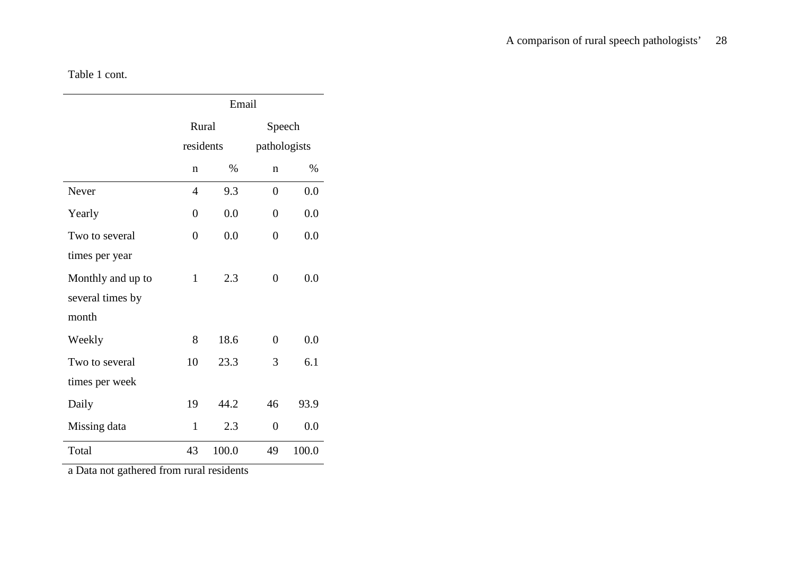### A comparison of rural speech pathologists' 28

Table 1 cont.

|                   | Email          |       |                  |       |  |
|-------------------|----------------|-------|------------------|-------|--|
|                   | Rural          |       | Speech           |       |  |
|                   | residents      |       | pathologists     |       |  |
|                   | n              | $\%$  | $\mathbf n$      | $\%$  |  |
| Never             | 4              | 9.3   | $\overline{0}$   | 0.0   |  |
| Yearly            | $\overline{0}$ | 0.0   | $\boldsymbol{0}$ | 0.0   |  |
| Two to several    | $\theta$       | 0.0   | $\overline{0}$   | 0.0   |  |
| times per year    |                |       |                  |       |  |
| Monthly and up to | $\mathbf{1}$   | 2.3   | 0                | 0.0   |  |
| several times by  |                |       |                  |       |  |
| month             |                |       |                  |       |  |
| Weekly            | 8              | 18.6  | $\overline{0}$   | 0.0   |  |
| Two to several    | 10             | 23.3  | 3                | 6.1   |  |
| times per week    |                |       |                  |       |  |
| Daily             | 19             | 44.2  | 46               | 93.9  |  |
| Missing data      | $\mathbf{1}$   | 2.3   | $\overline{0}$   | 0.0   |  |
| Total             | 43             | 100.0 | 49               | 100.0 |  |

a Data not gathered from rural residents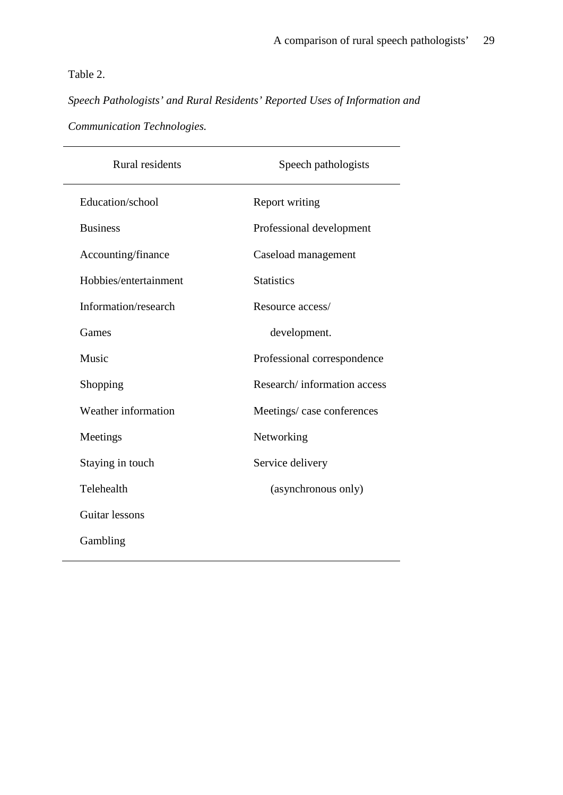### Table 2.

*Speech Pathologists' and Rural Residents' Reported Uses of Information and Communication Technologies.*

| <b>Rural residents</b> | Speech pathologists         |
|------------------------|-----------------------------|
| Education/school       | <b>Report writing</b>       |
| <b>Business</b>        | Professional development    |
| Accounting/finance     | Caseload management         |
| Hobbies/entertainment  | <b>Statistics</b>           |
| Information/research   | Resource access/            |
| Games                  | development.                |
| Music                  | Professional correspondence |
| Shopping               | Research/information access |
| Weather information    | Meetings/case conferences   |
| Meetings               | Networking                  |
| Staying in touch       | Service delivery            |
| Telehealth             | (asynchronous only)         |
| Guitar lessons         |                             |
| Gambling               |                             |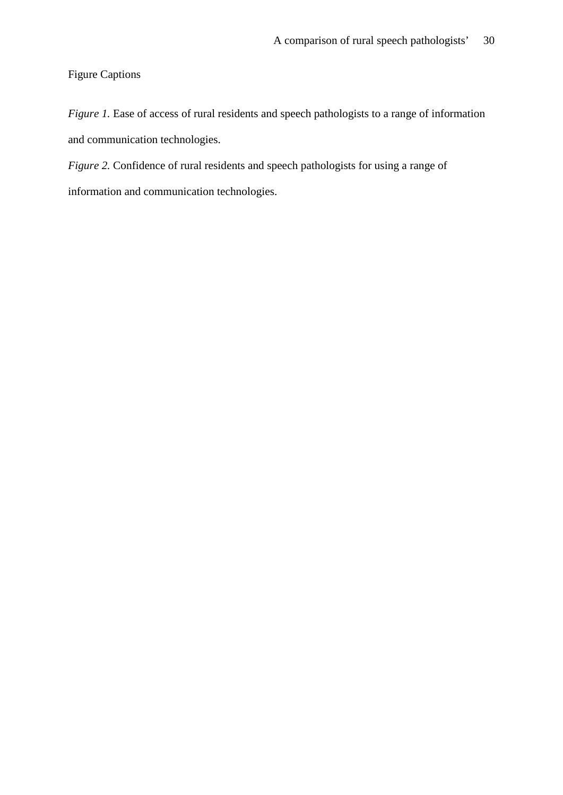Figure Captions

*Figure 1.* Ease of access of rural residents and speech pathologists to a range of information and communication technologies.

*Figure 2.* Confidence of rural residents and speech pathologists for using a range of information and communication technologies.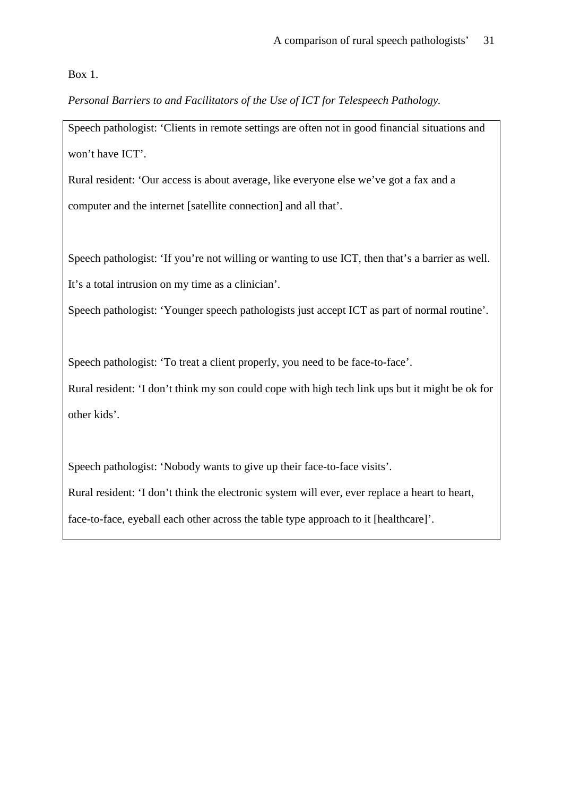Box 1.

*Personal Barriers to and Facilitators of the Use of ICT for Telespeech Pathology.*

Speech pathologist: 'Clients in remote settings are often not in good financial situations and won't have ICT'.

Rural resident: 'Our access is about average, like everyone else we've got a fax and a computer and the internet [satellite connection] and all that'.

Speech pathologist: 'If you're not willing or wanting to use ICT, then that's a barrier as well. It's a total intrusion on my time as a clinician'.

Speech pathologist: 'Younger speech pathologists just accept ICT as part of normal routine'.

Speech pathologist: 'To treat a client properly, you need to be face-to-face'.

Rural resident: 'I don't think my son could cope with high tech link ups but it might be ok for other kids'.

Speech pathologist: 'Nobody wants to give up their face-to-face visits'. Rural resident: 'I don't think the electronic system will ever, ever replace a heart to heart, face-to-face, eyeball each other across the table type approach to it [healthcare]'.